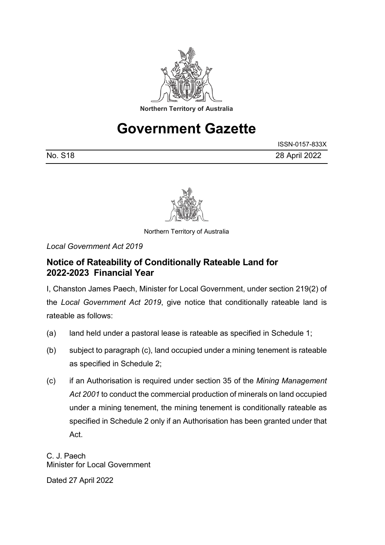

## **Government Gazette**

|         | ISSN-0157-833X |
|---------|----------------|
| No. S18 | 28 April 2022  |



Northern Territory of Australia

*Local Government Act 2019*

## **Notice of Rateability of Conditionally Rateable Land for 2022-2023 Financial Year**

I, Chanston James Paech, Minister for Local Government, under section 219(2) of the *Local Government Act 2019*, give notice that conditionally rateable land is rateable as follows:

- (a) land held under a pastoral lease is rateable as specified in Schedule 1;
- (b) subject to paragraph (c), land occupied under a mining tenement is rateable as specified in Schedule 2;
- (c) if an Authorisation is required under section 35 of the *Mining Management Act 2001* to conduct the commercial production of minerals on land occupied under a mining tenement, the mining tenement is conditionally rateable as specified in Schedule 2 only if an Authorisation has been granted under that Act.

C. J. Paech Minister for Local Government

Dated 27 April 2022